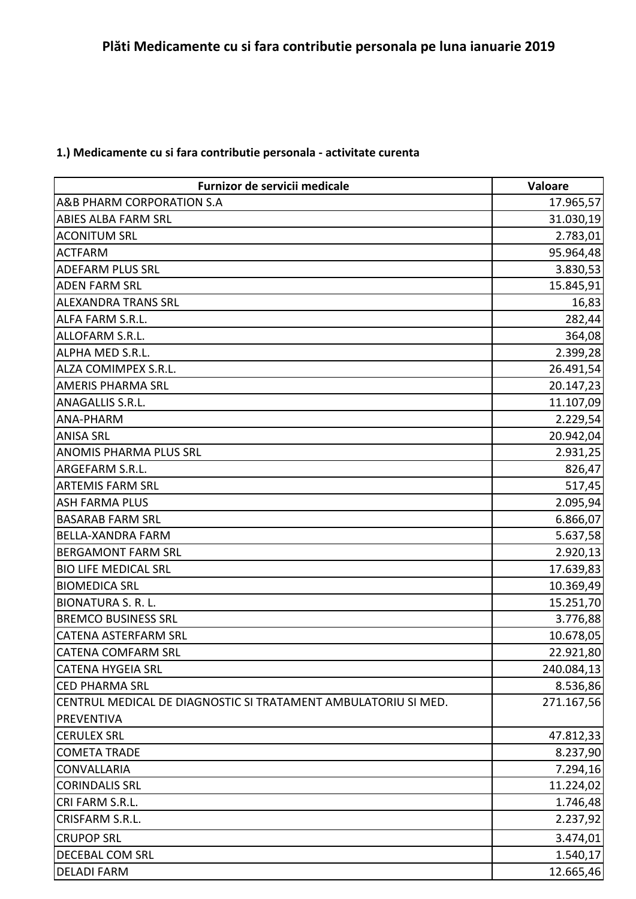## **1.) Medicamente cu si fara contributie personala - activitate curenta**

| Furnizor de servicii medicale                                  | Valoare    |
|----------------------------------------------------------------|------------|
| A&B PHARM CORPORATION S.A                                      | 17.965,57  |
| ABIES ALBA FARM SRL                                            | 31.030,19  |
| <b>ACONITUM SRL</b>                                            | 2.783,01   |
| <b>ACTFARM</b>                                                 | 95.964,48  |
| <b>ADEFARM PLUS SRL</b>                                        | 3.830,53   |
| <b>ADEN FARM SRL</b>                                           | 15.845,91  |
| <b>ALEXANDRA TRANS SRL</b>                                     | 16,83      |
| ALFA FARM S.R.L.                                               | 282,44     |
| ALLOFARM S.R.L.                                                | 364,08     |
| ALPHA MED S.R.L.                                               | 2.399,28   |
| ALZA COMIMPEX S.R.L.                                           | 26.491,54  |
| <b>AMERIS PHARMA SRL</b>                                       | 20.147,23  |
| <b>ANAGALLIS S.R.L.</b>                                        | 11.107,09  |
| ANA-PHARM                                                      | 2.229,54   |
| <b>ANISA SRL</b>                                               | 20.942,04  |
| <b>ANOMIS PHARMA PLUS SRL</b>                                  | 2.931,25   |
| ARGEFARM S.R.L.                                                | 826,47     |
| <b>ARTEMIS FARM SRL</b>                                        | 517,45     |
| <b>ASH FARMA PLUS</b>                                          | 2.095,94   |
| <b>BASARAB FARM SRL</b>                                        | 6.866,07   |
| <b>BELLA-XANDRA FARM</b>                                       | 5.637,58   |
| <b>BERGAMONT FARM SRL</b>                                      | 2.920,13   |
| <b>BIO LIFE MEDICAL SRL</b>                                    | 17.639,83  |
| <b>BIOMEDICA SRL</b>                                           | 10.369,49  |
| <b>BIONATURA S. R. L.</b>                                      | 15.251,70  |
| <b>BREMCO BUSINESS SRL</b>                                     | 3.776,88   |
| CATENA ASTERFARM SRL                                           | 10.678,05  |
| <b>CATENA COMFARM SRL</b>                                      | 22.921,80  |
| <b>CATENA HYGEIA SRL</b>                                       | 240.084,13 |
| <b>CED PHARMA SRL</b>                                          | 8.536,86   |
| CENTRUL MEDICAL DE DIAGNOSTIC SI TRATAMENT AMBULATORIU SI MED. | 271.167,56 |
| PREVENTIVA                                                     |            |
| <b>CERULEX SRL</b>                                             | 47.812,33  |
| <b>COMETA TRADE</b>                                            | 8.237,90   |
| <b>CONVALLARIA</b>                                             | 7.294,16   |
| <b>CORINDALIS SRL</b>                                          | 11.224,02  |
| CRI FARM S.R.L.                                                | 1.746,48   |
| CRISFARM S.R.L.                                                | 2.237,92   |
| <b>CRUPOP SRL</b>                                              | 3.474,01   |
| DECEBAL COM SRL                                                | 1.540,17   |
| <b>DELADI FARM</b>                                             | 12.665,46  |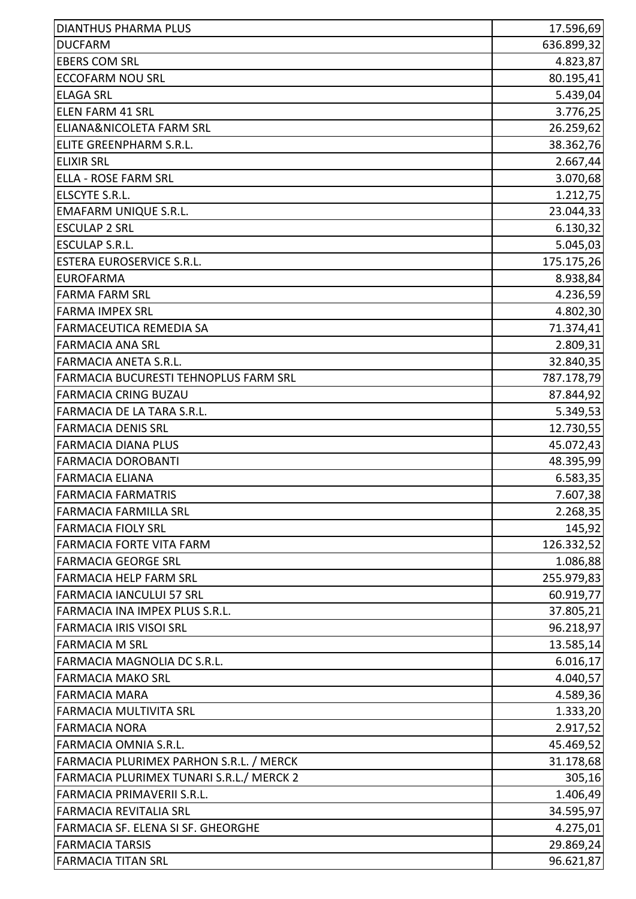| <b>DIANTHUS PHARMA PLUS</b>                  | 17.596,69  |
|----------------------------------------------|------------|
| <b>DUCFARM</b>                               | 636.899,32 |
| <b>EBERS COM SRL</b>                         | 4.823,87   |
| <b>ECCOFARM NOU SRL</b>                      | 80.195,41  |
| <b>ELAGA SRL</b>                             | 5.439,04   |
| <b>ELEN FARM 41 SRL</b>                      | 3.776,25   |
| <b>ELIANA&amp;NICOLETA FARM SRL</b>          | 26.259,62  |
| ELITE GREENPHARM S.R.L.                      | 38.362,76  |
| <b>ELIXIR SRL</b>                            | 2.667,44   |
| <b>ELLA - ROSE FARM SRL</b>                  | 3.070,68   |
| ELSCYTE S.R.L.                               | 1.212,75   |
| <b>EMAFARM UNIQUE S.R.L.</b>                 | 23.044,33  |
| <b>ESCULAP 2 SRL</b>                         | 6.130,32   |
| <b>ESCULAP S.R.L.</b>                        | 5.045,03   |
| <b>ESTERA EUROSERVICE S.R.L.</b>             | 175.175,26 |
| <b>EUROFARMA</b>                             | 8.938,84   |
| <b>FARMA FARM SRL</b>                        | 4.236,59   |
| <b>FARMA IMPEX SRL</b>                       | 4.802,30   |
| <b>FARMACEUTICA REMEDIA SA</b>               | 71.374,41  |
| <b>FARMACIA ANA SRL</b>                      | 2.809,31   |
| <b>FARMACIA ANETA S.R.L.</b>                 | 32.840,35  |
| <b>FARMACIA BUCURESTI TEHNOPLUS FARM SRL</b> | 787.178,79 |
| <b>FARMACIA CRING BUZAU</b>                  | 87.844,92  |
| <b>FARMACIA DE LA TARA S.R.L.</b>            | 5.349,53   |
| <b>FARMACIA DENIS SRL</b>                    | 12.730,55  |
| <b>FARMACIA DIANA PLUS</b>                   | 45.072,43  |
| <b>FARMACIA DOROBANTI</b>                    | 48.395,99  |
| <b>FARMACIA ELIANA</b>                       | 6.583,35   |
| <b>FARMACIA FARMATRIS</b>                    | 7.607,38   |
| <b>FARMACIA FARMILLA SRL</b>                 | 2.268,35   |
| <b>FARMACIA FIOLY SRL</b>                    | 145,92     |
| FARMACIA FORTE VITA FARM                     | 126.332,52 |
| <b>FARMACIA GEORGE SRL</b>                   | 1.086,88   |
| <b>FARMACIA HELP FARM SRL</b>                | 255.979,83 |
| <b>FARMACIA IANCULUI 57 SRL</b>              | 60.919,77  |
| FARMACIA INA IMPEX PLUS S.R.L.               | 37.805,21  |
| <b>FARMACIA IRIS VISOI SRL</b>               | 96.218,97  |
| <b>FARMACIA M SRL</b>                        | 13.585,14  |
| <b>FARMACIA MAGNOLIA DC S.R.L.</b>           | 6.016, 17  |
| <b>FARMACIA MAKO SRL</b>                     | 4.040,57   |
| <b>FARMACIA MARA</b>                         | 4.589,36   |
| <b>FARMACIA MULTIVITA SRL</b>                | 1.333,20   |
| <b>FARMACIA NORA</b>                         | 2.917,52   |
| <b>FARMACIA OMNIA S.R.L.</b>                 | 45.469,52  |
| FARMACIA PLURIMEX PARHON S.R.L. / MERCK      | 31.178,68  |
| FARMACIA PLURIMEX TUNARI S.R.L./ MERCK 2     | 305,16     |
| FARMACIA PRIMAVERII S.R.L.                   | 1.406,49   |
| <b>FARMACIA REVITALIA SRL</b>                | 34.595,97  |
| FARMACIA SF. ELENA SI SF. GHEORGHE           | 4.275,01   |
| <b>FARMACIA TARSIS</b>                       | 29.869,24  |
| <b>FARMACIA TITAN SRL</b>                    | 96.621,87  |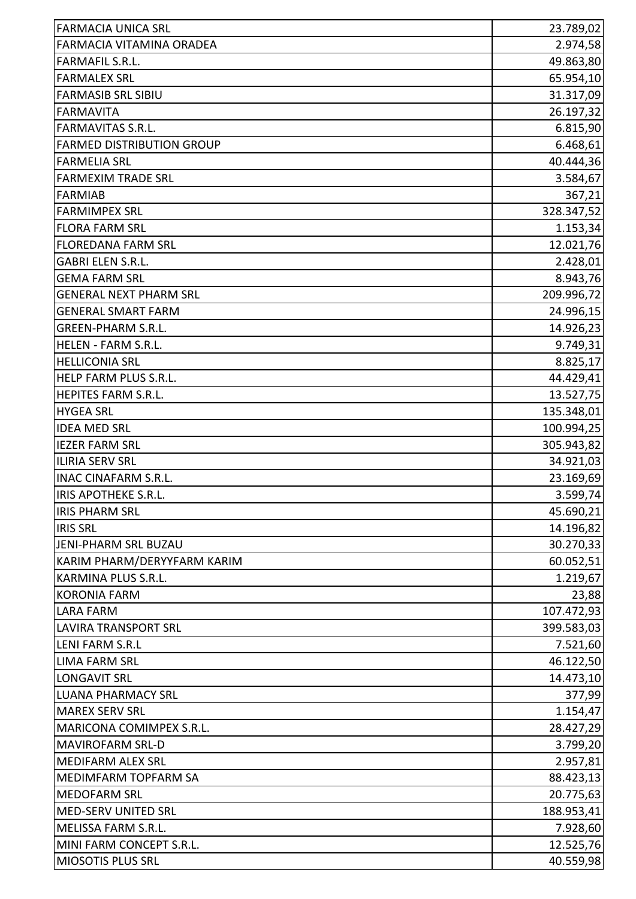| <b>FARMACIA UNICA SRL</b>        | 23.789,02  |
|----------------------------------|------------|
| FARMACIA VITAMINA ORADEA         | 2.974,58   |
| <b>FARMAFIL S.R.L.</b>           | 49.863,80  |
| <b>FARMALEX SRL</b>              | 65.954,10  |
| <b>FARMASIB SRL SIBIU</b>        | 31.317,09  |
| <b>FARMAVITA</b>                 | 26.197,32  |
| <b>FARMAVITAS S.R.L.</b>         | 6.815,90   |
| <b>FARMED DISTRIBUTION GROUP</b> | 6.468,61   |
| <b>FARMELIA SRL</b>              | 40.444,36  |
| <b>FARMEXIM TRADE SRL</b>        | 3.584,67   |
| <b>FARMIAB</b>                   | 367,21     |
| <b>FARMIMPEX SRL</b>             | 328.347,52 |
| <b>FLORA FARM SRL</b>            | 1.153,34   |
| <b>FLOREDANA FARM SRL</b>        | 12.021,76  |
| <b>GABRI ELEN S.R.L.</b>         | 2.428,01   |
| <b>GEMA FARM SRL</b>             | 8.943,76   |
| <b>GENERAL NEXT PHARM SRL</b>    | 209.996,72 |
| <b>GENERAL SMART FARM</b>        | 24.996,15  |
| <b>GREEN-PHARM S.R.L.</b>        | 14.926,23  |
| HELEN - FARM S.R.L.              | 9.749,31   |
| <b>HELLICONIA SRL</b>            | 8.825,17   |
| HELP FARM PLUS S.R.L.            | 44.429,41  |
| HEPITES FARM S.R.L.              | 13.527,75  |
| <b>HYGEA SRL</b>                 | 135.348,01 |
| <b>IDEA MED SRL</b>              | 100.994,25 |
| <b>IEZER FARM SRL</b>            | 305.943,82 |
| <b>ILIRIA SERV SRL</b>           | 34.921,03  |
| <b>INAC CINAFARM S.R.L.</b>      | 23.169,69  |
| liris apotheke s.r.l             | 3.599,74   |
| <b>IRIS PHARM SRL</b>            | 45.690,21  |
| <b>IRIS SRL</b>                  | 14.196,82  |
| <b>JENI-PHARM SRL BUZAU</b>      | 30.270,33  |
| KARIM PHARM/DERYYFARM KARIM      | 60.052,51  |
| KARMINA PLUS S.R.L.              | 1.219,67   |
| <b>KORONIA FARM</b>              | 23,88      |
| <b>LARA FARM</b>                 | 107.472,93 |
| <b>LAVIRA TRANSPORT SRL</b>      | 399.583,03 |
| <b>LENI FARM S.R.L</b>           | 7.521,60   |
| <b>LIMA FARM SRL</b>             | 46.122,50  |
| <b>LONGAVIT SRL</b>              | 14.473,10  |
| <b>LUANA PHARMACY SRL</b>        | 377,99     |
| <b>MAREX SERV SRL</b>            | 1.154,47   |
| MARICONA COMIMPEX S.R.L.         | 28.427,29  |
| <b>MAVIROFARM SRL-D</b>          | 3.799,20   |
| <b>MEDIFARM ALEX SRL</b>         | 2.957,81   |
| MEDIMFARM TOPFARM SA             | 88.423,13  |
| <b>MEDOFARM SRL</b>              | 20.775,63  |
| <b>MED-SERV UNITED SRL</b>       | 188.953,41 |
| MELISSA FARM S.R.L.              | 7.928,60   |
| MINI FARM CONCEPT S.R.L.         | 12.525,76  |
| MIOSOTIS PLUS SRL                | 40.559,98  |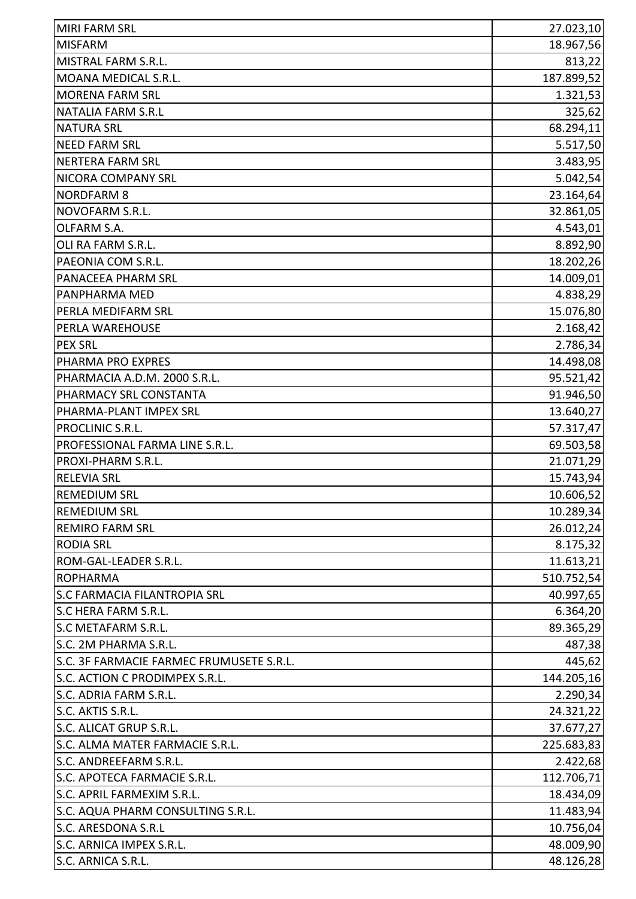| <b>MIRI FARM SRL</b>                     | 27.023,10  |
|------------------------------------------|------------|
| <b>MISFARM</b>                           | 18.967,56  |
| MISTRAL FARM S.R.L.                      | 813,22     |
| MOANA MEDICAL S.R.L.                     | 187.899,52 |
| <b>MORENA FARM SRL</b>                   | 1.321,53   |
| <b>NATALIA FARM S.R.L</b>                | 325,62     |
| <b>NATURA SRL</b>                        | 68.294,11  |
| <b>NEED FARM SRL</b>                     | 5.517,50   |
| <b>NERTERA FARM SRL</b>                  | 3.483,95   |
| NICORA COMPANY SRL                       | 5.042,54   |
| <b>NORDFARM 8</b>                        | 23.164,64  |
| NOVOFARM S.R.L.                          | 32.861,05  |
| OLFARM S.A.                              | 4.543,01   |
| OLI RA FARM S.R.L.                       | 8.892,90   |
| PAEONIA COM S.R.L.                       | 18.202,26  |
| PANACEEA PHARM SRL                       | 14.009,01  |
| PANPHARMA MED                            | 4.838,29   |
| PERLA MEDIFARM SRL                       | 15.076,80  |
| PERLA WAREHOUSE                          | 2.168,42   |
| <b>PEX SRL</b>                           | 2.786,34   |
| PHARMA PRO EXPRES                        | 14.498,08  |
| PHARMACIA A.D.M. 2000 S.R.L.             | 95.521,42  |
| PHARMACY SRL CONSTANTA                   | 91.946,50  |
| PHARMA-PLANT IMPEX SRL                   | 13.640,27  |
| PROCLINIC S.R.L.                         | 57.317,47  |
| PROFESSIONAL FARMA LINE S.R.L.           | 69.503,58  |
| PROXI-PHARM S.R.L.                       | 21.071,29  |
| <b>RELEVIA SRL</b>                       | 15.743,94  |
| <b>REMEDIUM SRL</b>                      | 10.606,52  |
| <b>REMEDIUM SRL</b>                      | 10.289,34  |
| <b>REMIRO FARM SRL</b>                   | 26.012,24  |
| <b>RODIA SRL</b>                         | 8.175,32   |
| ROM-GAL-LEADER S.R.L.                    | 11.613,21  |
| <b>ROPHARMA</b>                          | 510.752,54 |
| S.C FARMACIA FILANTROPIA SRL             | 40.997,65  |
| S.C HERA FARM S.R.L.                     | 6.364,20   |
| S.C METAFARM S.R.L.                      | 89.365,29  |
| S.C. 2M PHARMA S.R.L.                    | 487,38     |
| S.C. 3F FARMACIE FARMEC FRUMUSETE S.R.L. | 445,62     |
| S.C. ACTION C PRODIMPEX S.R.L.           | 144.205,16 |
| S.C. ADRIA FARM S.R.L.                   | 2.290,34   |
| S.C. AKTIS S.R.L.                        | 24.321,22  |
| S.C. ALICAT GRUP S.R.L.                  | 37.677,27  |
| S.C. ALMA MATER FARMACIE S.R.L.          | 225.683,83 |
| S.C. ANDREEFARM S.R.L.                   | 2.422,68   |
| S.C. APOTECA FARMACIE S.R.L.             | 112.706,71 |
| S.C. APRIL FARMEXIM S.R.L.               | 18.434,09  |
| S.C. AQUA PHARM CONSULTING S.R.L.        | 11.483,94  |
| S.C. ARESDONA S.R.L                      | 10.756,04  |
| S.C. ARNICA IMPEX S.R.L.                 | 48.009,90  |
| S.C. ARNICA S.R.L.                       | 48.126,28  |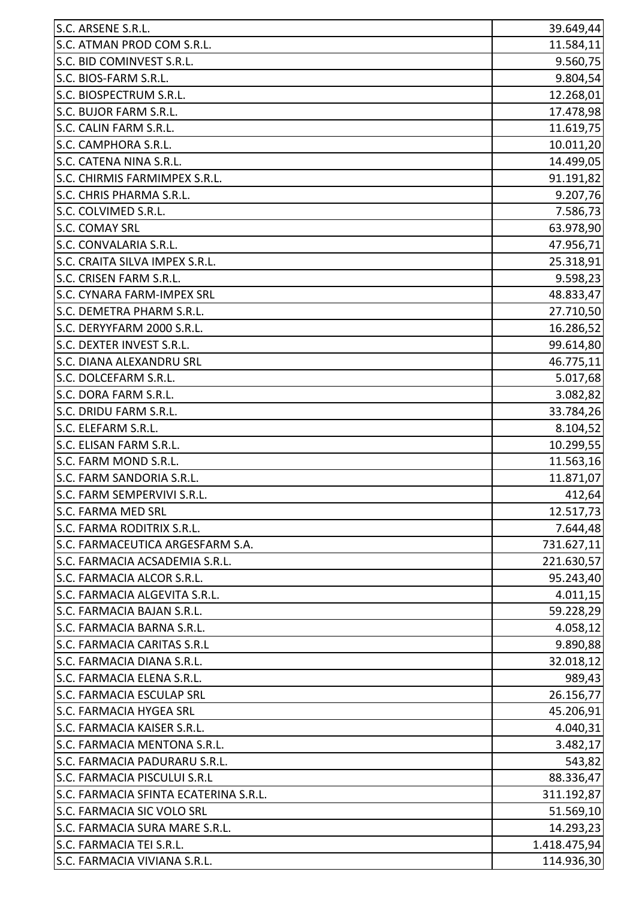| S.C. ARSENE S.R.L.                    | 39.649,44    |
|---------------------------------------|--------------|
| S.C. ATMAN PROD COM S.R.L.            | 11.584,11    |
| S.C. BID COMINVEST S.R.L.             | 9.560,75     |
| S.C. BIOS-FARM S.R.L.                 | 9.804,54     |
| S.C. BIOSPECTRUM S.R.L.               | 12.268,01    |
| S.C. BUJOR FARM S.R.L.                | 17.478,98    |
| S.C. CALIN FARM S.R.L.                | 11.619,75    |
| S.C. CAMPHORA S.R.L.                  | 10.011,20    |
| S.C. CATENA NINA S.R.L.               | 14.499,05    |
| S.C. CHIRMIS FARMIMPEX S.R.L.         | 91.191,82    |
| S.C. CHRIS PHARMA S.R.L.              | 9.207,76     |
| S.C. COLVIMED S.R.L.                  | 7.586,73     |
| S.C. COMAY SRL                        | 63.978,90    |
| S.C. CONVALARIA S.R.L.                | 47.956,71    |
| S.C. CRAITA SILVA IMPEX S.R.L.        | 25.318,91    |
| S.C. CRISEN FARM S.R.L.               | 9.598,23     |
| S.C. CYNARA FARM-IMPEX SRL            | 48.833,47    |
| S.C. DEMETRA PHARM S.R.L.             | 27.710,50    |
| S.C. DERYYFARM 2000 S.R.L.            | 16.286,52    |
| S.C. DEXTER INVEST S.R.L.             | 99.614,80    |
| S.C. DIANA ALEXANDRU SRL              | 46.775,11    |
| S.C. DOLCEFARM S.R.L.                 | 5.017,68     |
| S.C. DORA FARM S.R.L.                 | 3.082,82     |
| S.C. DRIDU FARM S.R.L.                | 33.784,26    |
| S.C. ELEFARM S.R.L.                   | 8.104,52     |
| S.C. ELISAN FARM S.R.L.               | 10.299,55    |
| S.C. FARM MOND S.R.L.                 | 11.563,16    |
| S.C. FARM SANDORIA S.R.L.             | 11.871,07    |
| S.C. FARM SEMPERVIVI S.R.L            | 412,64       |
| S.C. FARMA MED SRL                    | 12.517,73    |
| S.C. FARMA RODITRIX S.R.L.            | 7.644,48     |
| S.C. FARMACEUTICA ARGESFARM S.A.      | 731.627,11   |
| S.C. FARMACIA ACSADEMIA S.R.L.        | 221.630,57   |
| S.C. FARMACIA ALCOR S.R.L.            | 95.243,40    |
| S.C. FARMACIA ALGEVITA S.R.L.         | 4.011,15     |
| S.C. FARMACIA BAJAN S.R.L.            | 59.228,29    |
| S.C. FARMACIA BARNA S.R.L.            | 4.058,12     |
| S.C. FARMACIA CARITAS S.R.L           | 9.890,88     |
| S.C. FARMACIA DIANA S.R.L.            | 32.018,12    |
| S.C. FARMACIA ELENA S.R.L.            | 989,43       |
| <b>S.C. FARMACIA ESCULAP SRL</b>      | 26.156,77    |
| <b>S.C. FARMACIA HYGEA SRL</b>        | 45.206,91    |
| S.C. FARMACIA KAISER S.R.L.           | 4.040,31     |
| S.C. FARMACIA MENTONA S.R.L.          | 3.482,17     |
| S.C. FARMACIA PADURARU S.R.L.         | 543,82       |
| S.C. FARMACIA PISCULUI S.R.L          | 88.336,47    |
| S.C. FARMACIA SFINTA ECATERINA S.R.L. | 311.192,87   |
| S.C. FARMACIA SIC VOLO SRL            | 51.569,10    |
| S.C. FARMACIA SURA MARE S.R.L.        | 14.293,23    |
| S.C. FARMACIA TEI S.R.L.              | 1.418.475,94 |
| S.C. FARMACIA VIVIANA S.R.L.          | 114.936,30   |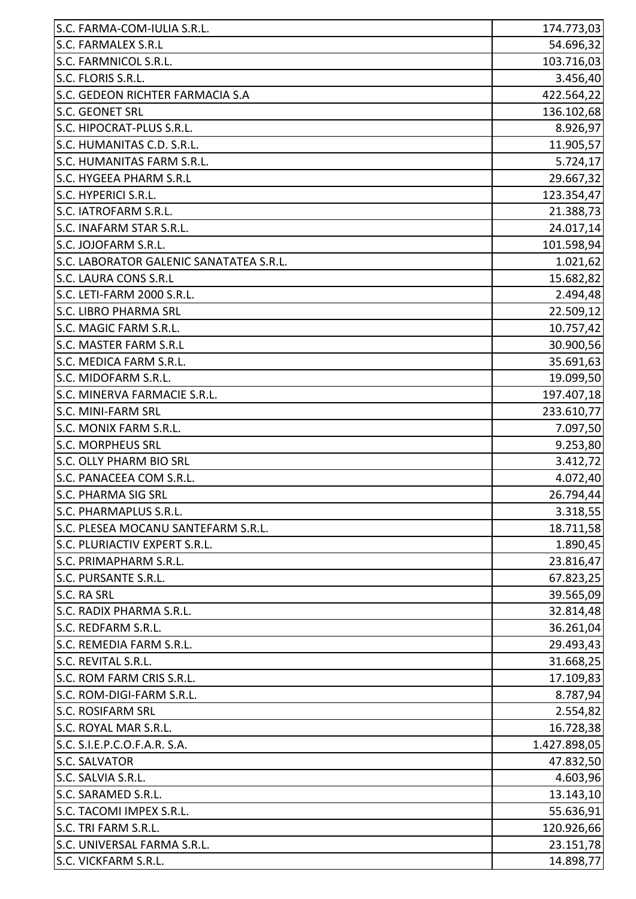| S.C. FARMA-COM-IULIA S.R.L.             | 174.773,03   |
|-----------------------------------------|--------------|
| <b>S.C. FARMALEX S.R.L</b>              | 54.696,32    |
| S.C. FARMNICOL S.R.L.                   | 103.716,03   |
| S.C. FLORIS S.R.L.                      | 3.456,40     |
| S.C. GEDEON RICHTER FARMACIA S.A        | 422.564,22   |
| <b>S.C. GEONET SRL</b>                  | 136.102,68   |
| S.C. HIPOCRAT-PLUS S.R.L.               | 8.926,97     |
| S.C. HUMANITAS C.D. S.R.L.              | 11.905,57    |
| S.C. HUMANITAS FARM S.R.L.              | 5.724, 17    |
| S.C. HYGEEA PHARM S.R.L                 | 29.667,32    |
| S.C. HYPERICI S.R.L.                    | 123.354,47   |
| S.C. IATROFARM S.R.L.                   | 21.388,73    |
| S.C. INAFARM STAR S.R.L.                | 24.017,14    |
| S.C. JOJOFARM S.R.L.                    | 101.598,94   |
| S.C. LABORATOR GALENIC SANATATEA S.R.L. | 1.021,62     |
| S.C. LAURA CONS S.R.L                   | 15.682,82    |
| S.C. LETI-FARM 2000 S.R.L.              | 2.494,48     |
| <b>S.C. LIBRO PHARMA SRL</b>            | 22.509,12    |
| S.C. MAGIC FARM S.R.L.                  | 10.757,42    |
| S.C. MASTER FARM S.R.L                  | 30.900,56    |
| S.C. MEDICA FARM S.R.L.                 | 35.691,63    |
| S.C. MIDOFARM S.R.L.                    | 19.099,50    |
| S.C. MINERVA FARMACIE S.R.L.            | 197.407,18   |
| <b>S.C. MINI-FARM SRL</b>               | 233.610,77   |
| S.C. MONIX FARM S.R.L.                  | 7.097,50     |
| <b>S.C. MORPHEUS SRL</b>                | 9.253,80     |
| <b>S.C. OLLY PHARM BIO SRL</b>          | 3.412,72     |
| S.C. PANACEEA COM S.R.L.                | 4.072,40     |
| <b>S.C. PHARMA SIG SRL</b>              | 26.794,44    |
| S.C. PHARMAPLUS S.R.L.                  | 3.318,55     |
| S.C. PLESEA MOCANU SANTEFARM S.R.L.     | 18.711,58    |
| S.C. PLURIACTIV EXPERT S.R.L.           | 1.890,45     |
| S.C. PRIMAPHARM S.R.L.                  | 23.816,47    |
| S.C. PURSANTE S.R.L.                    | 67.823,25    |
| S.C. RA SRL                             | 39.565,09    |
| S.C. RADIX PHARMA S.R.L.                | 32.814,48    |
| S.C. REDFARM S.R.L.                     | 36.261,04    |
| S.C. REMEDIA FARM S.R.L.                | 29.493,43    |
| S.C. REVITAL S.R.L.                     | 31.668,25    |
| S.C. ROM FARM CRIS S.R.L.               | 17.109,83    |
| S.C. ROM-DIGI-FARM S.R.L.               | 8.787,94     |
| <b>S.C. ROSIFARM SRL</b>                | 2.554,82     |
| S.C. ROYAL MAR S.R.L.                   | 16.728,38    |
| S.C. S.I.E.P.C.O.F.A.R. S.A.            | 1.427.898,05 |
| <b>S.C. SALVATOR</b>                    | 47.832,50    |
| S.C. SALVIA S.R.L.                      | 4.603,96     |
| S.C. SARAMED S.R.L.                     | 13.143,10    |
| S.C. TACOMI IMPEX S.R.L.                | 55.636,91    |
| S.C. TRI FARM S.R.L.                    | 120.926,66   |
| S.C. UNIVERSAL FARMA S.R.L.             | 23.151,78    |
| S.C. VICKFARM S.R.L.                    | 14.898,77    |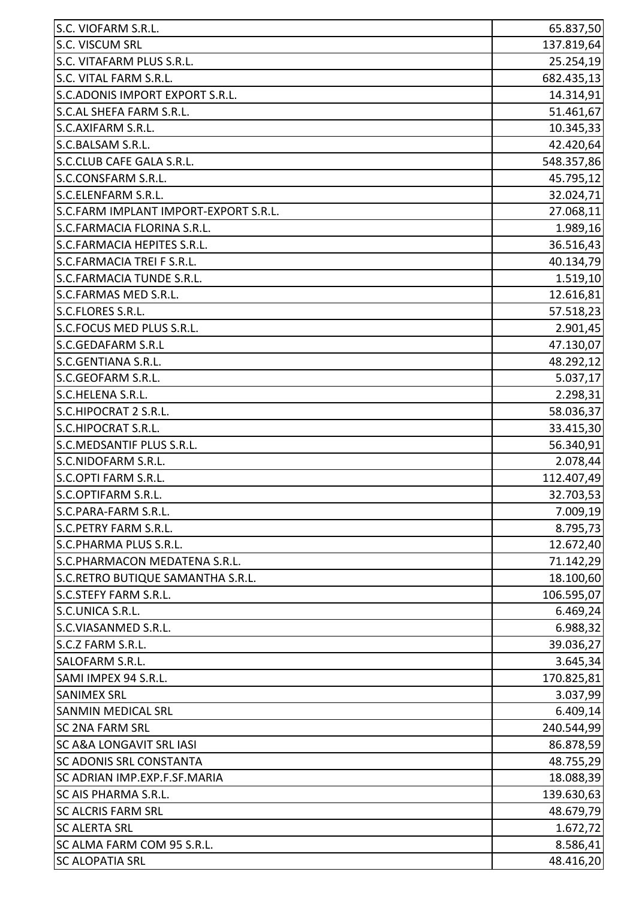| S.C. VIOFARM S.R.L.                   | 65.837,50  |
|---------------------------------------|------------|
| S.C. VISCUM SRL                       | 137.819,64 |
| S.C. VITAFARM PLUS S.R.L.             | 25.254,19  |
| S.C. VITAL FARM S.R.L.                | 682.435,13 |
| S.C.ADONIS IMPORT EXPORT S.R.L.       | 14.314,91  |
| S.C.AL SHEFA FARM S.R.L.              | 51.461,67  |
| S.C.AXIFARM S.R.L.                    | 10.345,33  |
| S.C.BALSAM S.R.L.                     | 42.420,64  |
| S.C.CLUB CAFE GALA S.R.L.             | 548.357,86 |
| S.C.CONSFARM S.R.L.                   | 45.795,12  |
| S.C.ELENFARM S.R.L.                   | 32.024,71  |
| S.C.FARM IMPLANT IMPORT-EXPORT S.R.L. | 27.068,11  |
| S.C.FARMACIA FLORINA S.R.L.           | 1.989,16   |
| S.C.FARMACIA HEPITES S.R.L.           | 36.516,43  |
| S.C.FARMACIA TREI F S.R.L.            | 40.134,79  |
| <b>S.C.FARMACIA TUNDE S.R.L.</b>      | 1.519,10   |
| S.C.FARMAS MED S.R.L.                 | 12.616,81  |
| S.C.FLORES S.R.L.                     | 57.518,23  |
| S.C.FOCUS MED PLUS S.R.L.             | 2.901,45   |
| <b>S.C.GEDAFARM S.R.L</b>             | 47.130,07  |
| S.C.GENTIANA S.R.L.                   | 48.292,12  |
| S.C.GEOFARM S.R.L.                    | 5.037,17   |
| S.C.HELENA S.R.L.                     | 2.298,31   |
| S.C.HIPOCRAT 2 S.R.L.                 | 58.036,37  |
| S.C.HIPOCRAT S.R.L.                   | 33.415,30  |
| S.C.MEDSANTIF PLUS S.R.L.             | 56.340,91  |
| S.C.NIDOFARM S.R.L.                   | 2.078,44   |
| S.C.OPTI FARM S.R.L.                  | 112.407,49 |
| S.C.OPTIFARM S.R.L                    | 32.703,53  |
| S.C.PARA-FARM S.R.L.                  | 7.009,19   |
| S.C.PETRY FARM S.R.L.                 | 8.795,73   |
| S.C.PHARMA PLUS S.R.L.                | 12.672,40  |
| S.C.PHARMACON MEDATENA S.R.L.         | 71.142,29  |
| S.C.RETRO BUTIQUE SAMANTHA S.R.L.     | 18.100,60  |
| <b>S.C.STEFY FARM S.R.L.</b>          | 106.595,07 |
| S.C.UNICA S.R.L.                      | 6.469,24   |
| S.C.VIASANMED S.R.L.                  | 6.988,32   |
| S.C.Z FARM S.R.L.                     | 39.036,27  |
| SALOFARM S.R.L.                       | 3.645,34   |
| SAMI IMPEX 94 S.R.L.                  | 170.825,81 |
| <b>SANIMEX SRL</b>                    | 3.037,99   |
| <b>SANMIN MEDICAL SRL</b>             | 6.409,14   |
| <b>SC 2NA FARM SRL</b>                | 240.544,99 |
| <b>SC A&amp;A LONGAVIT SRL IASI</b>   | 86.878,59  |
| <b>SC ADONIS SRL CONSTANTA</b>        | 48.755,29  |
| <b>SC ADRIAN IMP.EXP.F.SF.MARIA</b>   | 18.088,39  |
| SC AIS PHARMA S.R.L.                  | 139.630,63 |
| <b>SC ALCRIS FARM SRL</b>             | 48.679,79  |
| <b>SC ALERTA SRL</b>                  | 1.672,72   |
| SC ALMA FARM COM 95 S.R.L.            | 8.586,41   |
| <b>SC ALOPATIA SRL</b>                | 48.416,20  |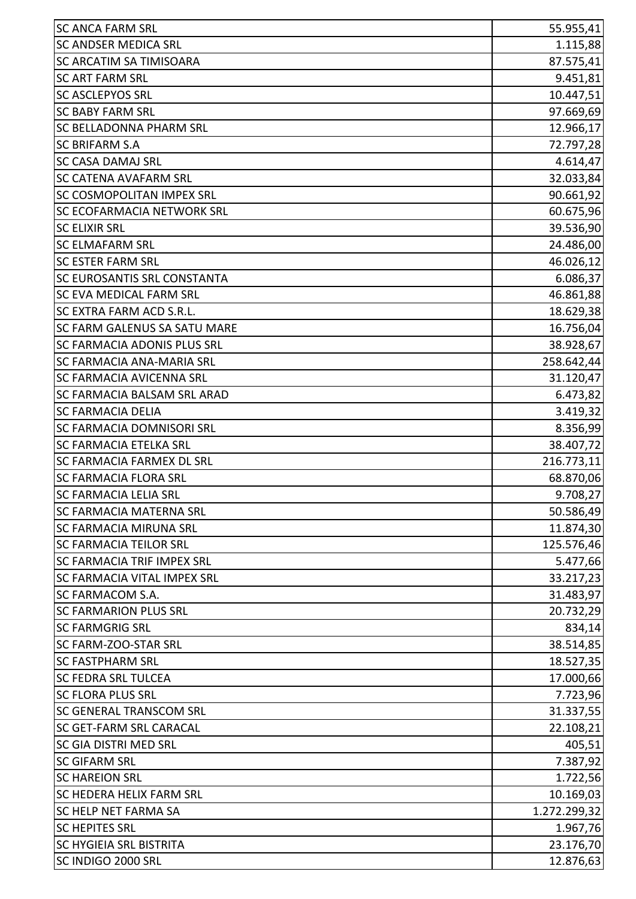| <b>SC ANCA FARM SRL</b>            | 55.955,41    |
|------------------------------------|--------------|
| <b>SC ANDSER MEDICA SRL</b>        | 1.115,88     |
| <b>SC ARCATIM SA TIMISOARA</b>     | 87.575,41    |
| <b>SC ART FARM SRL</b>             | 9.451,81     |
| <b>SC ASCLEPYOS SRL</b>            | 10.447,51    |
| <b>SC BABY FARM SRL</b>            | 97.669,69    |
| <b>SC BELLADONNA PHARM SRL</b>     | 12.966,17    |
| <b>SC BRIFARM S.A</b>              | 72.797,28    |
| <b>SC CASA DAMAJ SRL</b>           | 4.614,47     |
| <b>SC CATENA AVAFARM SRL</b>       | 32.033,84    |
| <b>SC COSMOPOLITAN IMPEX SRL</b>   | 90.661,92    |
| <b>SC ECOFARMACIA NETWORK SRL</b>  | 60.675,96    |
| <b>SC ELIXIR SRL</b>               | 39.536,90    |
| <b>SC ELMAFARM SRL</b>             | 24.486,00    |
| <b>SC ESTER FARM SRL</b>           | 46.026,12    |
| <b>SC EUROSANTIS SRL CONSTANTA</b> | 6.086,37     |
| <b>SC EVA MEDICAL FARM SRL</b>     | 46.861,88    |
| SC EXTRA FARM ACD S.R.L.           | 18.629,38    |
| ISC FARM GALENUS SA SATU MARE      | 16.756,04    |
| <b>SC FARMACIA ADONIS PLUS SRL</b> | 38.928,67    |
| <b>SC FARMACIA ANA-MARIA SRL</b>   | 258.642,44   |
| <b>SC FARMACIA AVICENNA SRL</b>    | 31.120,47    |
| <b>SC FARMACIA BALSAM SRL ARAD</b> | 6.473,82     |
| <b>SC FARMACIA DELIA</b>           | 3.419,32     |
| <b>SC FARMACIA DOMNISORI SRL</b>   | 8.356,99     |
| <b>SC FARMACIA ETELKA SRL</b>      | 38.407,72    |
| <b>SC FARMACIA FARMEX DL SRL</b>   | 216.773,11   |
| <b>SC FARMACIA FLORA SRL</b>       | 68.870,06    |
| SC FARMACIA LELIA SRL              | 9.708,27     |
| <b>SC FARMACIA MATERNA SRL</b>     | 50.586,49    |
| <b>SC FARMACIA MIRUNA SRL</b>      | 11.874,30    |
| <b>SC FARMACIA TEILOR SRL</b>      | 125.576,46   |
| <b>SC FARMACIA TRIF IMPEX SRL</b>  | 5.477,66     |
| <b>SC FARMACIA VITAL IMPEX SRL</b> | 33.217,23    |
| <b>SC FARMACOM S.A.</b>            | 31.483,97    |
| <b>SC FARMARION PLUS SRL</b>       | 20.732,29    |
| <b>SC FARMGRIG SRL</b>             | 834,14       |
| <b>SC FARM-ZOO-STAR SRL</b>        | 38.514,85    |
| <b>SC FASTPHARM SRL</b>            | 18.527,35    |
| <b>SC FEDRA SRL TULCEA</b>         | 17.000,66    |
| <b>SC FLORA PLUS SRL</b>           | 7.723,96     |
| <b>SC GENERAL TRANSCOM SRL</b>     | 31.337,55    |
| <b>SC GET-FARM SRL CARACAL</b>     | 22.108,21    |
| <b>SC GIA DISTRI MED SRL</b>       | 405,51       |
| <b>SC GIFARM SRL</b>               | 7.387,92     |
| <b>SC HAREION SRL</b>              | 1.722,56     |
| <b>SC HEDERA HELIX FARM SRL</b>    | 10.169,03    |
| <b>SC HELP NET FARMA SA</b>        | 1.272.299,32 |
| <b>SC HEPITES SRL</b>              | 1.967,76     |
| <b>SC HYGIEIA SRL BISTRITA</b>     | 23.176,70    |
| SC INDIGO 2000 SRL                 | 12.876,63    |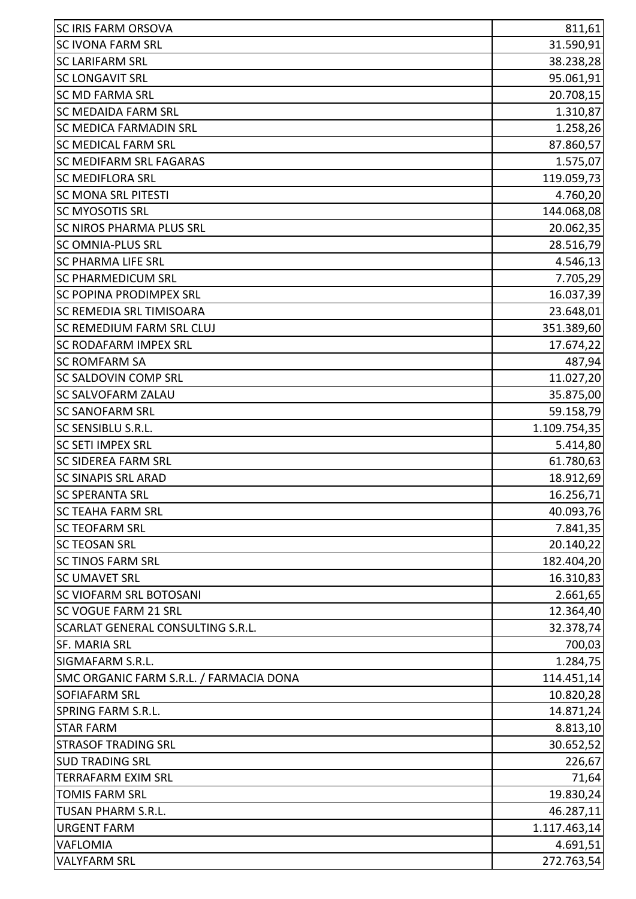| <b>SC IRIS FARM ORSOVA</b>              | 811,61       |
|-----------------------------------------|--------------|
| <b>SC IVONA FARM SRL</b>                | 31.590,91    |
| <b>SC LARIFARM SRL</b>                  | 38.238,28    |
| <b>SC LONGAVIT SRL</b>                  | 95.061,91    |
| <b>SC MD FARMA SRL</b>                  | 20.708,15    |
| <b>SC MEDAIDA FARM SRL</b>              | 1.310,87     |
| <b>SC MEDICA FARMADIN SRL</b>           | 1.258,26     |
| <b>SC MEDICAL FARM SRL</b>              | 87.860,57    |
| SC MEDIFARM SRL FAGARAS                 | 1.575,07     |
| <b>SC MEDIFLORA SRL</b>                 | 119.059,73   |
| <b>SC MONA SRL PITESTI</b>              | 4.760,20     |
| <b>SC MYOSOTIS SRL</b>                  | 144.068,08   |
| <b>SC NIROS PHARMA PLUS SRL</b>         | 20.062,35    |
| <b>SC OMNIA-PLUS SRL</b>                | 28.516,79    |
| <b>SC PHARMA LIFE SRL</b>               | 4.546,13     |
| <b>SC PHARMEDICUM SRL</b>               | 7.705,29     |
| <b>SC POPINA PRODIMPEX SRL</b>          | 16.037,39    |
| <b>SC REMEDIA SRL TIMISOARA</b>         | 23.648,01    |
| <b>SC REMEDIUM FARM SRL CLUJ</b>        | 351.389,60   |
| <b>SC RODAFARM IMPEX SRL</b>            | 17.674,22    |
| <b>SC ROMFARM SA</b>                    | 487,94       |
| <b>SC SALDOVIN COMP SRL</b>             | 11.027,20    |
| <b>SC SALVOFARM ZALAU</b>               | 35.875,00    |
| <b>SC SANOFARM SRL</b>                  | 59.158,79    |
| <b>SC SENSIBLU S.R.L.</b>               | 1.109.754,35 |
| <b>SC SETI IMPEX SRL</b>                | 5.414,80     |
| <b>SC SIDEREA FARM SRL</b>              | 61.780,63    |
| <b>SC SINAPIS SRL ARAD</b>              | 18.912,69    |
| <b>SC SPERANTA SRL</b>                  | 16.256,71    |
| <b>SC TEAHA FARM SRL</b>                | 40.093,76    |
| <b>SC TEOFARM SRL</b>                   | 7.841,35     |
| <b>SC TEOSAN SRL</b>                    | 20.140,22    |
| <b>SC TINOS FARM SRL</b>                | 182.404,20   |
| <b>SC UMAVET SRL</b>                    | 16.310,83    |
| <b>SC VIOFARM SRL BOTOSANI</b>          | 2.661,65     |
| <b>SC VOGUE FARM 21 SRL</b>             | 12.364,40    |
| SCARLAT GENERAL CONSULTING S.R.L.       | 32.378,74    |
| <b>SF. MARIA SRL</b>                    | 700,03       |
| <b>SIGMAFARM S.R.L.</b>                 | 1.284,75     |
| SMC ORGANIC FARM S.R.L. / FARMACIA DONA | 114.451,14   |
| <b>SOFIAFARM SRL</b>                    | 10.820,28    |
| <b>SPRING FARM S.R.L.</b>               | 14.871,24    |
| <b>STAR FARM</b>                        | 8.813,10     |
| <b>STRASOF TRADING SRL</b>              | 30.652,52    |
| <b>SUD TRADING SRL</b>                  | 226,67       |
| <b>TERRAFARM EXIM SRL</b>               | 71,64        |
| <b>TOMIS FARM SRL</b>                   | 19.830,24    |
| <b>TUSAN PHARM S.R.L.</b>               | 46.287,11    |
| <b>URGENT FARM</b>                      | 1.117.463,14 |
| <b>VAFLOMIA</b>                         | 4.691,51     |
| <b>VALYFARM SRL</b>                     | 272.763,54   |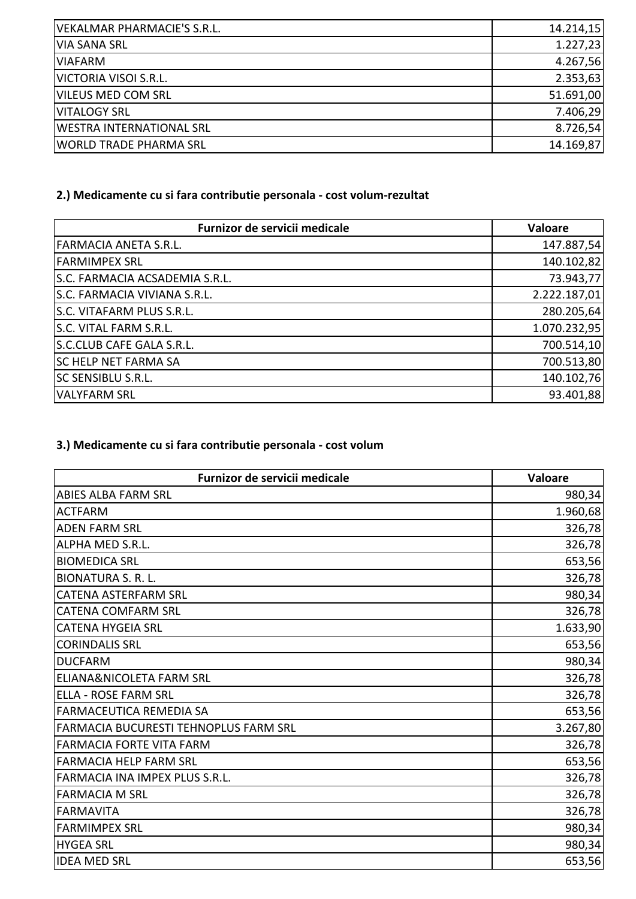| VEKALMAR PHARMACIE'S S.R.L.     | 14.214,15 |
|---------------------------------|-----------|
| <b>VIA SANA SRL</b>             | 1.227,23  |
| <b>VIAFARM</b>                  | 4.267,56  |
| VICTORIA VISOI S.R.L.           | 2.353,63  |
| <b>VILEUS MED COM SRL</b>       | 51.691,00 |
| <b>VITALOGY SRL</b>             | 7.406,29  |
| <b>WESTRA INTERNATIONAL SRL</b> | 8.726,54  |
| <b>WORLD TRADE PHARMA SRL</b>   | 14.169,87 |

## **2.) Medicamente cu si fara contributie personala - cost volum-rezultat**

| Furnizor de servicii medicale  | Valoare      |
|--------------------------------|--------------|
| FARMACIA ANETA S.R.L.          | 147.887,54   |
| <b>FARMIMPEX SRL</b>           | 140.102,82   |
| S.C. FARMACIA ACSADEMIA S.R.L. | 73.943,77    |
| S.C. FARMACIA VIVIANA S.R.L.   | 2.222.187,01 |
| S.C. VITAFARM PLUS S.R.L.      | 280.205,64   |
| S.C. VITAL FARM S.R.L.         | 1.070.232,95 |
| S.C.CLUB CAFE GALA S.R.L.      | 700.514,10   |
| <b>SC HELP NET FARMA SA</b>    | 700.513,80   |
| <b>SC SENSIBLU S.R.L.</b>      | 140.102,76   |
| <b>VALYFARM SRL</b>            | 93.401,88    |

## **3.) Medicamente cu si fara contributie personala - cost volum**

| Furnizor de servicii medicale         | <b>Valoare</b> |
|---------------------------------------|----------------|
| <b>ABIES ALBA FARM SRL</b>            | 980,34         |
| <b>ACTFARM</b>                        | 1.960,68       |
| <b>ADEN FARM SRL</b>                  | 326,78         |
| ALPHA MED S.R.L.                      | 326,78         |
| <b>BIOMEDICA SRL</b>                  | 653,56         |
| <b>BIONATURA S. R. L.</b>             | 326,78         |
| <b>CATENA ASTERFARM SRL</b>           | 980,34         |
| <b>CATENA COMFARM SRL</b>             | 326,78         |
| <b>CATENA HYGEIA SRL</b>              | 1.633,90       |
| <b>CORINDALIS SRL</b>                 | 653,56         |
| <b>DUCFARM</b>                        | 980,34         |
| <b>ELIANA&amp;NICOLETA FARM SRL</b>   | 326,78         |
| <b>ELLA - ROSE FARM SRL</b>           | 326,78         |
| <b>FARMACEUTICA REMEDIA SA</b>        | 653,56         |
| FARMACIA BUCURESTI TEHNOPLUS FARM SRL | 3.267,80       |
| <b>FARMACIA FORTE VITA FARM</b>       | 326,78         |
| <b>FARMACIA HELP FARM SRL</b>         | 653,56         |
| <b>FARMACIA INA IMPEX PLUS S.R.L.</b> | 326,78         |
| <b>FARMACIA M SRL</b>                 | 326,78         |
| <b>FARMAVITA</b>                      | 326,78         |
| <b>FARMIMPEX SRL</b>                  | 980,34         |
| <b>HYGEA SRL</b>                      | 980,34         |
| <b>IDEA MED SRL</b>                   | 653,56         |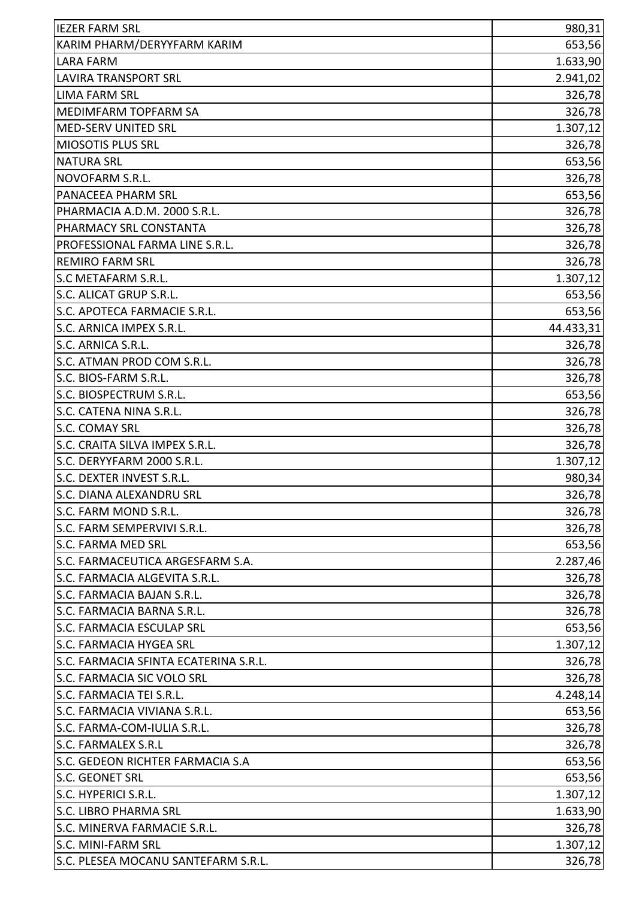| <b>IEZER FARM SRL</b>                 | 980,31    |
|---------------------------------------|-----------|
| KARIM PHARM/DERYYFARM KARIM           | 653,56    |
| <b>LARA FARM</b>                      | 1.633,90  |
| <b>LAVIRA TRANSPORT SRL</b>           | 2.941,02  |
| <b>LIMA FARM SRL</b>                  | 326,78    |
| MEDIMFARM TOPFARM SA                  | 326,78    |
| MED-SERV UNITED SRL                   | 1.307, 12 |
| <b>MIOSOTIS PLUS SRL</b>              | 326,78    |
| <b>NATURA SRL</b>                     | 653,56    |
| NOVOFARM S.R.L.                       | 326,78    |
| PANACEEA PHARM SRL                    | 653,56    |
| PHARMACIA A.D.M. 2000 S.R.L.          | 326,78    |
| PHARMACY SRL CONSTANTA                | 326,78    |
| PROFESSIONAL FARMA LINE S.R.L.        | 326,78    |
| <b>REMIRO FARM SRL</b>                | 326,78    |
| S.C METAFARM S.R.L.                   | 1.307,12  |
| S.C. ALICAT GRUP S.R.L.               | 653,56    |
| S.C. APOTECA FARMACIE S.R.L.          | 653,56    |
| S.C. ARNICA IMPEX S.R.L.              | 44.433,31 |
| S.C. ARNICA S.R.L.                    | 326,78    |
| S.C. ATMAN PROD COM S.R.L.            | 326,78    |
| S.C. BIOS-FARM S.R.L.                 | 326,78    |
| S.C. BIOSPECTRUM S.R.L.               | 653,56    |
| S.C. CATENA NINA S.R.L.               | 326,78    |
| S.C. COMAY SRL                        | 326,78    |
| S.C. CRAITA SILVA IMPEX S.R.L.        | 326,78    |
| S.C. DERYYFARM 2000 S.R.L.            | 1.307, 12 |
| S.C. DEXTER INVEST S.R.L.             | 980,34    |
| S.C. DIANA ALEXANDRU SRL              | 326,78    |
| S.C. FARM MOND S.R.L.                 | 326,78    |
| S.C. FARM SEMPERVIVI S.R.L.           | 326,78    |
| <b>S.C. FARMA MED SRL</b>             | 653,56    |
| S.C. FARMACEUTICA ARGESFARM S.A.      | 2.287,46  |
| S.C. FARMACIA ALGEVITA S.R.L.         | 326,78    |
| S.C. FARMACIA BAJAN S.R.L.            | 326,78    |
| S.C. FARMACIA BARNA S.R.L.            | 326,78    |
| <b>S.C. FARMACIA ESCULAP SRL</b>      | 653,56    |
| <b>S.C. FARMACIA HYGEA SRL</b>        | 1.307, 12 |
| S.C. FARMACIA SFINTA ECATERINA S.R.L. | 326,78    |
| S.C. FARMACIA SIC VOLO SRL            | 326,78    |
| S.C. FARMACIA TEI S.R.L.              | 4.248,14  |
| S.C. FARMACIA VIVIANA S.R.L.          | 653,56    |
| S.C. FARMA-COM-IULIA S.R.L.           | 326,78    |
| <b>S.C. FARMALEX S.R.L</b>            | 326,78    |
| S.C. GEDEON RICHTER FARMACIA S.A      | 653,56    |
| <b>S.C. GEONET SRL</b>                | 653,56    |
| S.C. HYPERICI S.R.L.                  | 1.307, 12 |
| <b>S.C. LIBRO PHARMA SRL</b>          | 1.633,90  |
| S.C. MINERVA FARMACIE S.R.L.          | 326,78    |
| S.C. MINI-FARM SRL                    | 1.307, 12 |
| S.C. PLESEA MOCANU SANTEFARM S.R.L.   | 326,78    |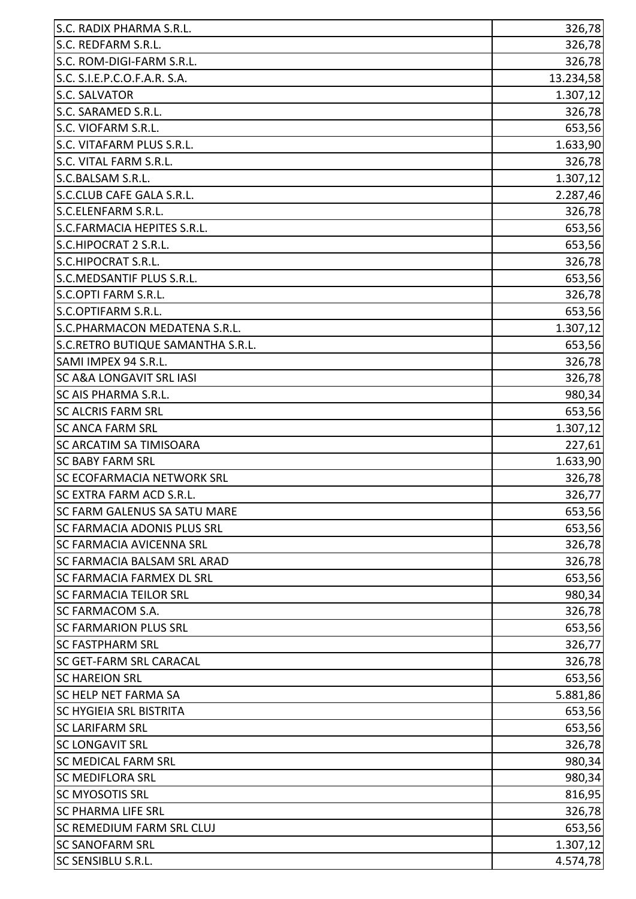| S.C. RADIX PHARMA S.R.L.            | 326,78    |
|-------------------------------------|-----------|
| S.C. REDFARM S.R.L.                 | 326,78    |
| S.C. ROM-DIGI-FARM S.R.L.           | 326,78    |
| S.C. S.I.E.P.C.O.F.A.R. S.A.        | 13.234,58 |
| S.C. SALVATOR                       | 1.307,12  |
| S.C. SARAMED S.R.L.                 | 326,78    |
| S.C. VIOFARM S.R.L.                 | 653,56    |
| S.C. VITAFARM PLUS S.R.L.           | 1.633,90  |
| S.C. VITAL FARM S.R.L.              | 326,78    |
| S.C.BALSAM S.R.L.                   | 1.307,12  |
| S.C.CLUB CAFE GALA S.R.L.           | 2.287,46  |
| S.C.ELENFARM S.R.L.                 | 326,78    |
| S.C.FARMACIA HEPITES S.R.L.         | 653,56    |
| S.C.HIPOCRAT 2 S.R.L.               | 653,56    |
| S.C.HIPOCRAT S.R.L.                 | 326,78    |
| S.C.MEDSANTIF PLUS S.R.L.           | 653,56    |
| S.C.OPTI FARM S.R.L.                | 326,78    |
| S.C.OPTIFARM S.R.L.                 | 653,56    |
| S.C.PHARMACON MEDATENA S.R.L.       | 1.307, 12 |
| S.C.RETRO BUTIQUE SAMANTHA S.R.L.   | 653,56    |
| SAMI IMPEX 94 S.R.L.                | 326,78    |
| <b>SC A&amp;A LONGAVIT SRL IASI</b> | 326,78    |
| <b>SC AIS PHARMA S.R.L.</b>         | 980,34    |
| <b>SC ALCRIS FARM SRL</b>           | 653,56    |
| <b>SC ANCA FARM SRL</b>             | 1.307, 12 |
| <b>SC ARCATIM SA TIMISOARA</b>      | 227,61    |
| <b>SC BABY FARM SRL</b>             | 1.633,90  |
| <b>SC ECOFARMACIA NETWORK SRL</b>   | 326,78    |
| SC EXTRA FARM ACD S.R.L             | 326,77    |
| <b>SC FARM GALENUS SA SATU MARE</b> | 653,56    |
| SC FARMACIA ADONIS PLUS SRL         | 653,56    |
| <b>SC FARMACIA AVICENNA SRL</b>     | 326,78    |
| <b>SC FARMACIA BALSAM SRL ARAD</b>  | 326,78    |
| <b>SC FARMACIA FARMEX DL SRL</b>    | 653,56    |
| <b>SC FARMACIA TEILOR SRL</b>       | 980,34    |
| <b>SC FARMACOM S.A.</b>             | 326,78    |
| <b>SC FARMARION PLUS SRL</b>        | 653,56    |
| <b>SC FASTPHARM SRL</b>             | 326,77    |
| <b>SC GET-FARM SRL CARACAL</b>      | 326,78    |
| <b>SC HAREION SRL</b>               | 653,56    |
| <b>SC HELP NET FARMA SA</b>         | 5.881,86  |
| <b>SC HYGIEIA SRL BISTRITA</b>      | 653,56    |
| <b>SC LARIFARM SRL</b>              | 653,56    |
| <b>SC LONGAVIT SRL</b>              | 326,78    |
| <b>SC MEDICAL FARM SRL</b>          | 980,34    |
| <b>SC MEDIFLORA SRL</b>             | 980,34    |
| <b>SC MYOSOTIS SRL</b>              | 816,95    |
| <b>SC PHARMA LIFE SRL</b>           | 326,78    |
| <b>SC REMEDIUM FARM SRL CLUJ</b>    | 653,56    |
| <b>SC SANOFARM SRL</b>              | 1.307, 12 |
| SC SENSIBLU S.R.L.                  | 4.574,78  |